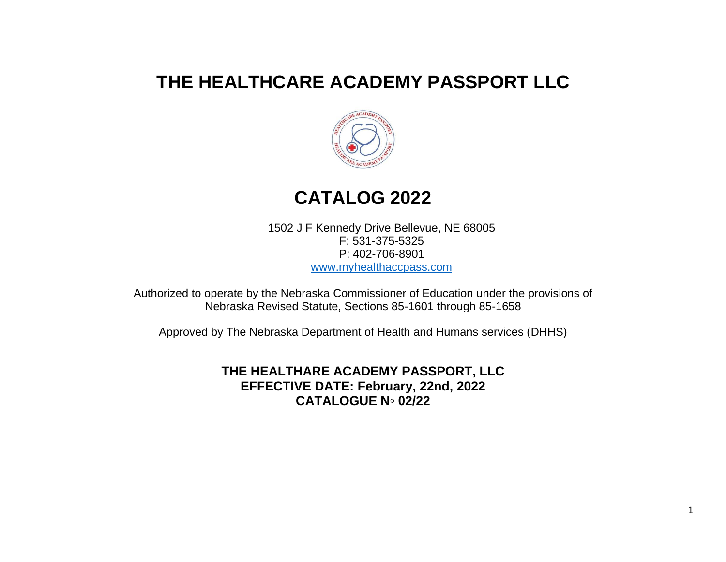# **THE HEALTHCARE ACADEMY PASSPORT LLC**



# **CATALOG 2022**

1502 J F Kennedy Drive Bellevue, NE 68005 F: 531-375-5325 P: 402-706-8901 [www.myhealthaccpass.com](http://www.myhealthaccpass.com/)

Authorized to operate by the Nebraska Commissioner of Education under the provisions of Nebraska Revised Statute, Sections 85-1601 through 85-1658

Approved by The Nebraska Department of Health and Humans services (DHHS)

**THE HEALTHARE ACADEMY PASSPORT, LLC EFFECTIVE DATE: February, 22nd, 2022 CATALOGUE N◦ 02/22**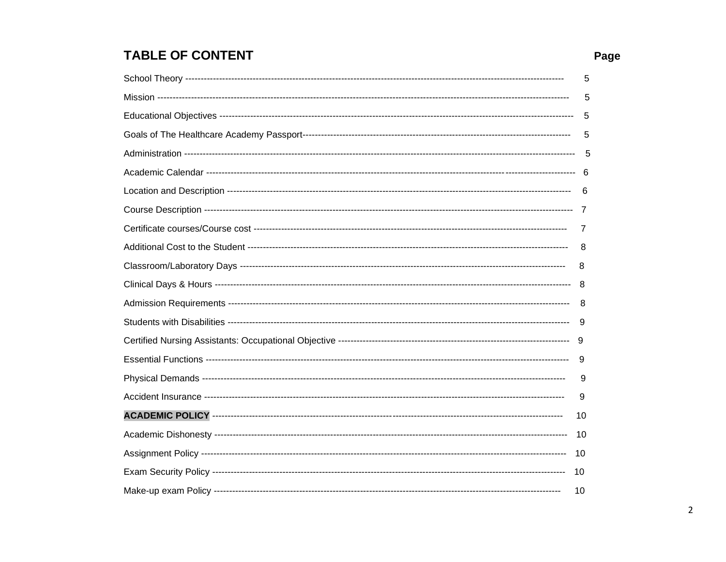## **TABLE OF CONTENT**

| 5    |
|------|
| 5    |
| 5    |
| 5    |
| 5    |
|      |
| 6    |
|      |
| 7    |
| 8    |
| 8    |
| -8   |
| 8    |
| 9    |
|      |
| 9    |
| 9    |
| 9    |
| 10   |
| - 10 |
| 10   |
| 10   |
| 10   |

## Page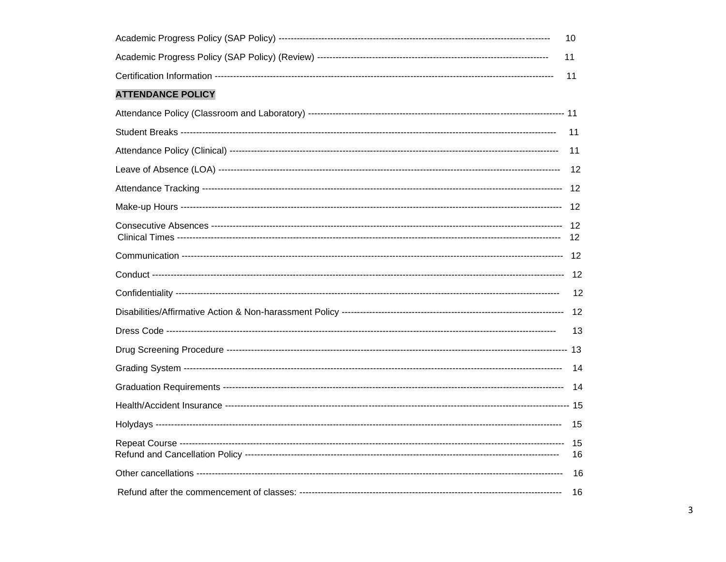|                          | 10   |
|--------------------------|------|
|                          | 11   |
|                          | 11   |
| <b>ATTENDANCE POLICY</b> |      |
|                          |      |
|                          | 11   |
|                          | -11  |
|                          | - 12 |
|                          |      |
|                          |      |
|                          |      |
|                          |      |
|                          |      |
|                          | - 12 |
|                          |      |
|                          | -13  |
|                          |      |
|                          |      |
|                          |      |
|                          |      |
|                          |      |
|                          | 16   |
|                          | - 16 |
|                          |      |

 $\overline{3}$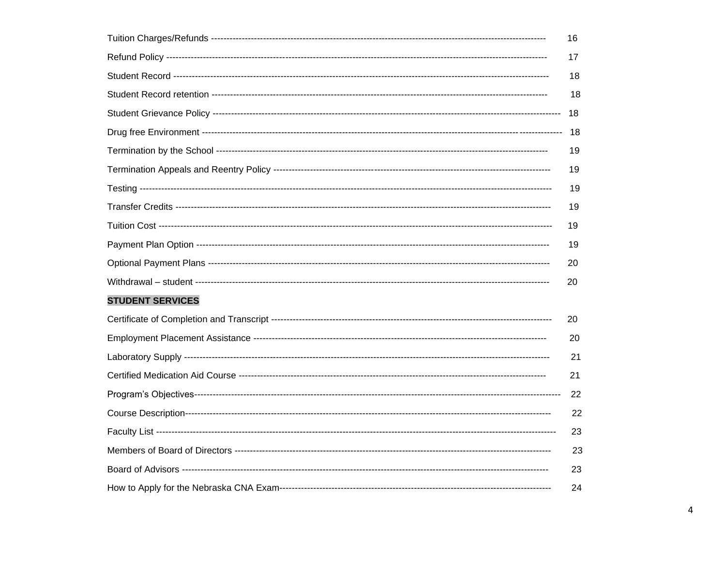|                         | 16 |
|-------------------------|----|
|                         | 17 |
|                         | 18 |
|                         | 18 |
|                         | 18 |
|                         | 18 |
|                         | 19 |
|                         | 19 |
|                         | 19 |
|                         | 19 |
|                         | 19 |
|                         | 19 |
|                         | 20 |
|                         | 20 |
| <b>STUDENT SERVICES</b> |    |
|                         | 20 |
|                         | 20 |
|                         | 21 |
|                         | 21 |
|                         | 22 |
|                         | 22 |
|                         | 23 |
|                         | 23 |
|                         | 23 |
|                         | 24 |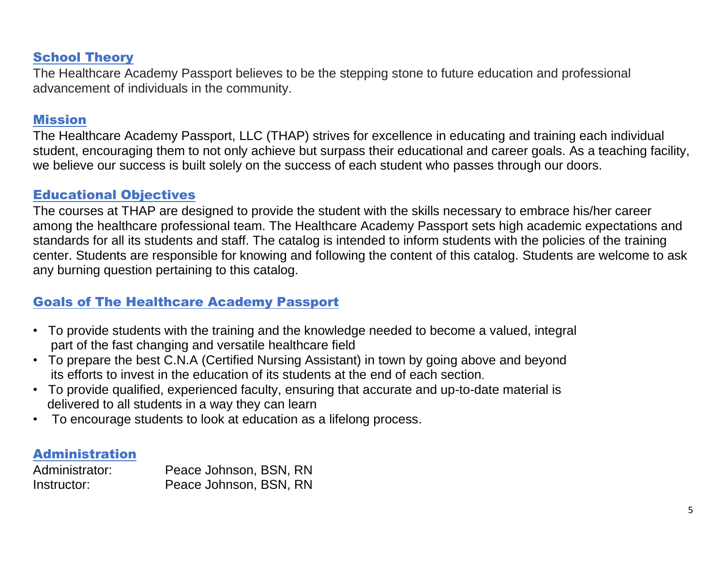## School Theory

The Healthcare Academy Passport believes to be the stepping stone to future education and professional advancement of individuals in the community.

## Mission

The Healthcare Academy Passport, LLC (THAP) strives for excellence in educating and training each individual student, encouraging them to not only achieve but surpass their educational and career goals. As a teaching facility, we believe our success is built solely on the success of each student who passes through our doors.

## Educational Objectives

The courses at THAP are designed to provide the student with the skills necessary to embrace his/her career among the healthcare professional team. The Healthcare Academy Passport sets high academic expectations and standards for all its students and staff. The catalog is intended to inform students with the policies of the training center. Students are responsible for knowing and following the content of this catalog. Students are welcome to ask any burning question pertaining to this catalog.

## Goals of The Healthcare Academy Passport

- To provide students with the training and the knowledge needed to become a valued, integral part of the fast changing and versatile healthcare field
- To prepare the best C.N.A (Certified Nursing Assistant) in town by going above and beyond its efforts to invest in the education of its students at the end of each section.
- To provide qualified, experienced faculty, ensuring that accurate and up-to-date material is delivered to all students in a way they can learn
- To encourage students to look at education as a lifelong process.

## Administration

Administrator: Peace Johnson, BSN, RN Instructor: Peace Johnson, BSN, RN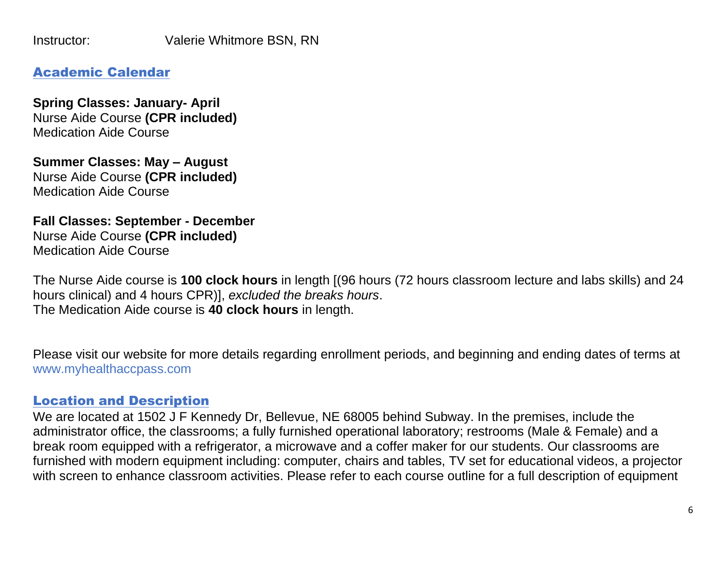Instructor: Valerie Whitmore BSN, RN

## Academic Calendar

**Spring Classes: January- April** Nurse Aide Course **(CPR included)** Medication Aide Course

**Summer Classes: May – August** Nurse Aide Course **(CPR included)** Medication Aide Course

**Fall Classes: September - December** Nurse Aide Course **(CPR included)** Medication Aide Course

The Nurse Aide course is **100 clock hours** in length [(96 hours (72 hours classroom lecture and labs skills) and 24 hours clinical) and 4 hours CPR)], *excluded the breaks hours*. The Medication Aide course is **40 clock hours** in length.

Please visit our website for more details regarding enrollment periods, and beginning and ending dates of terms at www.myhealthaccpass.com

## Location and Description

We are located at 1502 J F Kennedy Dr, Bellevue, NE 68005 behind Subway. In the premises, include the administrator office, the classrooms; a fully furnished operational laboratory; restrooms (Male & Female) and a break room equipped with a refrigerator, a microwave and a coffer maker for our students. Our classrooms are furnished with modern equipment including: computer, chairs and tables, TV set for educational videos, a projector with screen to enhance classroom activities. Please refer to each course outline for a full description of equipment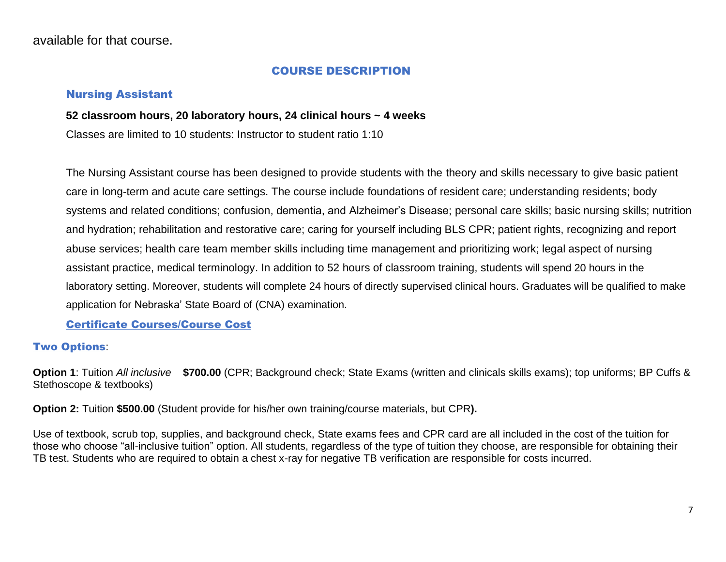available for that course.

#### COURSE DESCRIPTION

#### Nursing Assistant

#### **52 classroom hours, 20 laboratory hours, 24 clinical hours ~ 4 weeks**

Classes are limited to 10 students: Instructor to student ratio 1:10

The Nursing Assistant course has been designed to provide students with the theory and skills necessary to give basic patient care in long-term and acute care settings. The course include foundations of resident care; understanding residents; body systems and related conditions; confusion, dementia, and Alzheimer's Disease; personal care skills; basic nursing skills; nutrition and hydration; rehabilitation and restorative care; caring for yourself including BLS CPR; patient rights, recognizing and report abuse services; health care team member skills including time management and prioritizing work; legal aspect of nursing assistant practice, medical terminology. In addition to 52 hours of classroom training, students will spend 20 hours in the laboratory setting. Moreover, students will complete 24 hours of directly supervised clinical hours. Graduates will be qualified to make application for Nebraska' State Board of (CNA) examination.

Certificate Courses/Course Cost

## Two Options:

**Option 1**: Tuition *All inclusive* **\$700.00** (CPR; Background check; State Exams (written and clinicals skills exams); top uniforms; BP Cuffs & Stethoscope & textbooks)

**Option 2:** Tuition **\$500.00** (Student provide for his/her own training/course materials, but CPR**).** 

Use of textbook, scrub top, supplies, and background check, State exams fees and CPR card are all included in the cost of the tuition for those who choose "all-inclusive tuition" option. All students, regardless of the type of tuition they choose, are responsible for obtaining their TB test. Students who are required to obtain a chest x-ray for negative TB verification are responsible for costs incurred.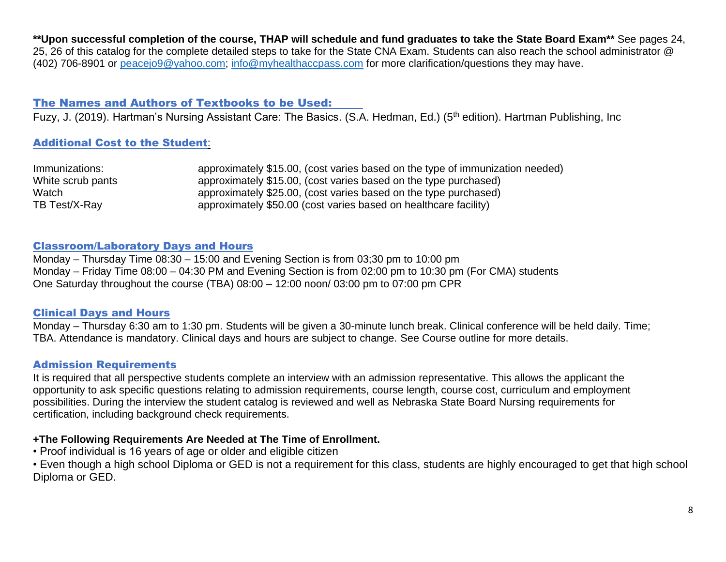**\*\*Upon successful completion of the course, THAP will schedule and fund graduates to take the State Board Exam\*\*** See pages 24, 25, 26 of this catalog for the complete detailed steps to take for the State CNA Exam. Students can also reach the school administrator @ (402) 706-8901 or [peacejo9@yahoo.com;](mailto:peacejo9@yahoo.com) [info@myhealthaccpass.com](mailto:info@myhealthaccpass.com) for more clarification/questions they may have.

#### The Names and Authors of Textbooks to be Used:

Fuzy, J. (2019). Hartman's Nursing Assistant Care: The Basics. (S.A. Hedman, Ed.) (5th edition). Hartman Publishing, Inc

#### Additional Cost to the Student:

| Immunizations:    | approximately \$15.00, (cost varies based on the type of immunization needed) |
|-------------------|-------------------------------------------------------------------------------|
| White scrub pants | approximately \$15.00, (cost varies based on the type purchased)              |
| Watch             | approximately \$25.00, (cost varies based on the type purchased)              |
| TB Test/X-Ray     | approximately \$50.00 (cost varies based on healthcare facility)              |

#### Classroom/Laboratory Days and Hours

Monday – Thursday Time 08:30 – 15:00 and Evening Section is from 03;30 pm to 10:00 pm Monday – Friday Time 08:00 – 04:30 PM and Evening Section is from 02:00 pm to 10:30 pm (For CMA) students One Saturday throughout the course (TBA) 08:00 – 12:00 noon/ 03:00 pm to 07:00 pm CPR

#### Clinical Days and Hours

Monday – Thursday 6:30 am to 1:30 pm. Students will be given a 30-minute lunch break. Clinical conference will be held daily. Time; TBA. Attendance is mandatory. Clinical days and hours are subject to change. See Course outline for more details.

#### Admission Requirements

It is required that all perspective students complete an interview with an admission representative. This allows the applicant the opportunity to ask specific questions relating to admission requirements, course length, course cost, curriculum and employment possibilities. During the interview the student catalog is reviewed and well as Nebraska State Board Nursing requirements for certification, including background check requirements.

#### **+The Following Requirements Are Needed at The Time of Enrollment.**

• Proof individual is 16 years of age or older and eligible citizen

• Even though a high school Diploma or GED is not a requirement for this class, students are highly encouraged to get that high school Diploma or GED.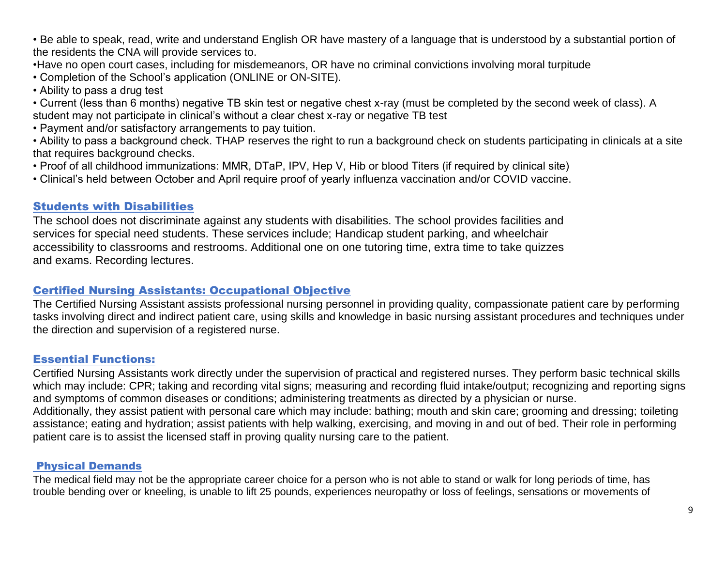• Be able to speak, read, write and understand English OR have mastery of a language that is understood by a substantial portion of the residents the CNA will provide services to.

•Have no open court cases, including for misdemeanors, OR have no criminal convictions involving moral turpitude

• Completion of the School's application (ONLINE or ON-SITE).

• Ability to pass a drug test

- Current (less than 6 months) negative TB skin test or negative chest x-ray (must be completed by the second week of class). A student may not participate in clinical's without a clear chest x-ray or negative TB test
- Payment and/or satisfactory arrangements to pay tuition.
- Ability to pass a background check. THAP reserves the right to run a background check on students participating in clinicals at a site that requires background checks.
- Proof of all childhood immunizations: MMR, DTaP, IPV, Hep V, Hib or blood Titers (if required by clinical site)
- Clinical's held between October and April require proof of yearly influenza vaccination and/or COVID vaccine.

## Students with Disabilities

The school does not discriminate against any students with disabilities. The school provides facilities and services for special need students. These services include; Handicap student parking, and wheelchair accessibility to classrooms and restrooms. Additional one on one tutoring time, extra time to take quizzes and exams. Recording lectures.

## Certified Nursing Assistants: Occupational Objective

The Certified Nursing Assistant assists professional nursing personnel in providing quality, compassionate patient care by performing tasks involving direct and indirect patient care, using skills and knowledge in basic nursing assistant procedures and techniques under the direction and supervision of a registered nurse.

## Essential Functions:

Certified Nursing Assistants work directly under the supervision of practical and registered nurses. They perform basic technical skills which may include: CPR; taking and recording vital signs; measuring and recording fluid intake/output; recognizing and reporting signs and symptoms of common diseases or conditions; administering treatments as directed by a physician or nurse. Additionally, they assist patient with personal care which may include: bathing; mouth and skin care; grooming and dressing; toileting assistance; eating and hydration; assist patients with help walking, exercising, and moving in and out of bed. Their role in performing patient care is to assist the licensed staff in proving quality nursing care to the patient.

## Physical Demands

The medical field may not be the appropriate career choice for a person who is not able to stand or walk for long periods of time, has trouble bending over or kneeling, is unable to lift 25 pounds, experiences neuropathy or loss of feelings, sensations or movements of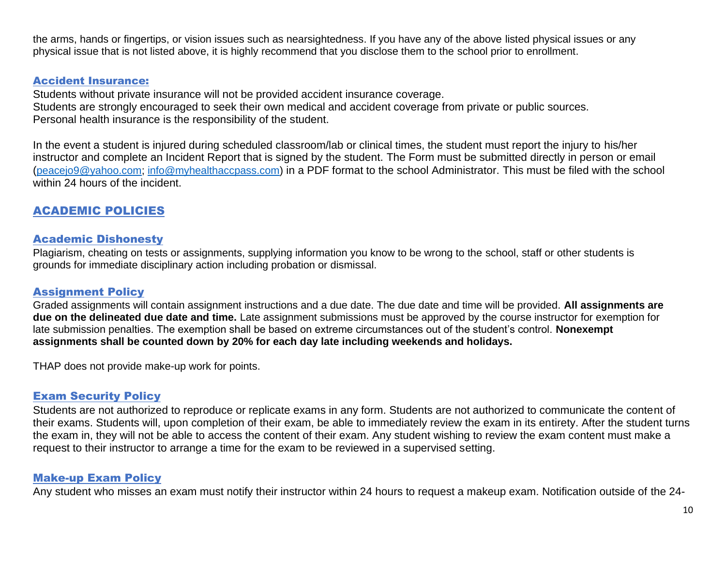the arms, hands or fingertips, or vision issues such as nearsightedness. If you have any of the above listed physical issues or any physical issue that is not listed above, it is highly recommend that you disclose them to the school prior to enrollment.

#### Accident Insurance:

Students without private insurance will not be provided accident insurance coverage. Students are strongly encouraged to seek their own medical and accident coverage from private or public sources. Personal health insurance is the responsibility of the student.

In the event a student is injured during scheduled classroom/lab or clinical times, the student must report the injury to his/her instructor and complete an Incident Report that is signed by the student. The Form must be submitted directly in person or email ([peacejo9@yahoo.com;](mailto:peacejo9@yahoo.com) [info@myhealthaccpass.com\)](mailto:info@myhealthaccpass.com) in a PDF format to the school Administrator. This must be filed with the school within 24 hours of the incident.

## ACADEMIC POLICIES

#### Academic Dishonesty

Plagiarism, cheating on tests or assignments, supplying information you know to be wrong to the school, staff or other students is grounds for immediate disciplinary action including probation or dismissal.

#### Assignment Policy

Graded assignments will contain assignment instructions and a due date. The due date and time will be provided. **All assignments are due on the delineated due date and time.** Late assignment submissions must be approved by the course instructor for exemption for late submission penalties. The exemption shall be based on extreme circumstances out of the student's control. **Nonexempt assignments shall be counted down by 20% for each day late including weekends and holidays.** 

THAP does not provide make-up work for points.

#### Exam Security Policy

Students are not authorized to reproduce or replicate exams in any form. Students are not authorized to communicate the content of their exams. Students will, upon completion of their exam, be able to immediately review the exam in its entirety. After the student turns the exam in, they will not be able to access the content of their exam. Any student wishing to review the exam content must make a request to their instructor to arrange a time for the exam to be reviewed in a supervised setting.

#### Make-up Exam Policy

Any student who misses an exam must notify their instructor within 24 hours to request a makeup exam. Notification outside of the 24-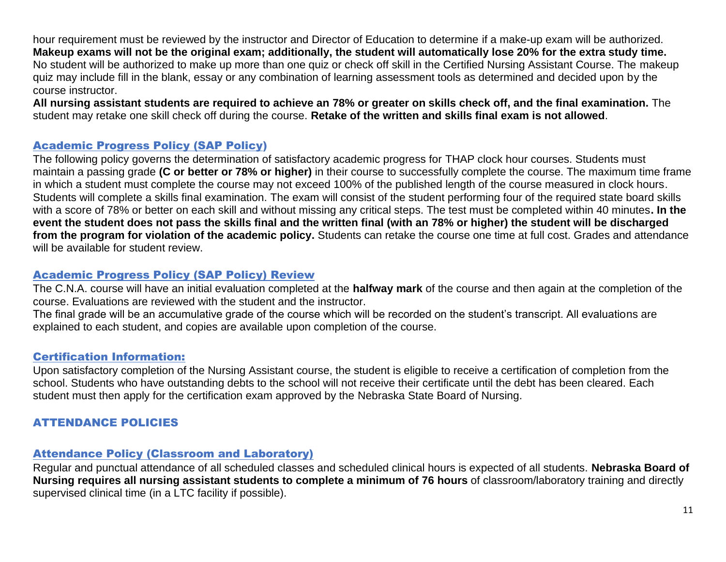hour requirement must be reviewed by the instructor and Director of Education to determine if a make-up exam will be authorized. **Makeup exams will not be the original exam; additionally, the student will automatically lose 20% for the extra study time.**  No student will be authorized to make up more than one quiz or check off skill in the Certified Nursing Assistant Course. The makeup quiz may include fill in the blank, essay or any combination of learning assessment tools as determined and decided upon by the course instructor.

**All nursing assistant students are required to achieve an 78% or greater on skills check off, and the final examination.** The student may retake one skill check off during the course. **Retake of the written and skills final exam is not allowed**.

## Academic Progress Policy (SAP Policy)

The following policy governs the determination of satisfactory academic progress for THAP clock hour courses. Students must maintain a passing grade **(C or better or 78% or higher)** in their course to successfully complete the course. The maximum time frame in which a student must complete the course may not exceed 100% of the published length of the course measured in clock hours. Students will complete a skills final examination. The exam will consist of the student performing four of the required state board skills with a score of 78% or better on each skill and without missing any critical steps. The test must be completed within 40 minutes**. In the event the student does not pass the skills final and the written final (with an 78% or higher) the student will be discharged from the program for violation of the academic policy.** Students can retake the course one time at full cost. Grades and attendance will be available for student review.

## Academic Progress Policy (SAP Policy) Review

The C.N.A. course will have an initial evaluation completed at the **halfway mark** of the course and then again at the completion of the course. Evaluations are reviewed with the student and the instructor.

The final grade will be an accumulative grade of the course which will be recorded on the student's transcript. All evaluations are explained to each student, and copies are available upon completion of the course.

## Certification Information:

Upon satisfactory completion of the Nursing Assistant course, the student is eligible to receive a certification of completion from the school. Students who have outstanding debts to the school will not receive their certificate until the debt has been cleared. Each student must then apply for the certification exam approved by the Nebraska State Board of Nursing.

## ATTENDANCE POLICIES

## Attendance Policy (Classroom and Laboratory)

Regular and punctual attendance of all scheduled classes and scheduled clinical hours is expected of all students. **Nebraska Board of Nursing requires all nursing assistant students to complete a minimum of 76 hours** of classroom/laboratory training and directly supervised clinical time (in a LTC facility if possible).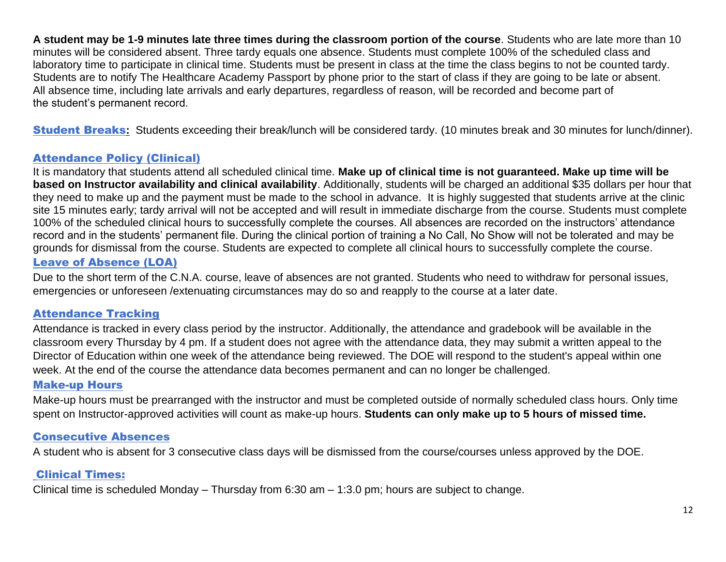**A student may be 1-9 minutes late three times during the classroom portion of the course**. Students who are late more than 10 minutes will be considered absent. Three tardy equals one absence. Students must complete 100% of the scheduled class and laboratory time to participate in clinical time. Students must be present in class at the time the class begins to not be counted tardy. Students are to notify The Healthcare Academy Passport by phone prior to the start of class if they are going to be late or absent. All absence time, including late arrivals and early departures, regardless of reason, will be recorded and become part of the student's permanent record.

Student Breaks**:** Students exceeding their break/lunch will be considered tardy. (10 minutes break and 30 minutes for lunch/dinner).

## Attendance Policy (Clinical)

It is mandatory that students attend all scheduled clinical time. **Make up of clinical time is not guaranteed. Make up time will be based on Instructor availability and clinical availability**. Additionally, students will be charged an additional \$35 dollars per hour that they need to make up and the payment must be made to the school in advance. It is highly suggested that students arrive at the clinic site 15 minutes early; tardy arrival will not be accepted and will result in immediate discharge from the course. Students must complete 100% of the scheduled clinical hours to successfully complete the courses. All absences are recorded on the instructors' attendance record and in the students' permanent file. During the clinical portion of training a No Call, No Show will not be tolerated and may be grounds for dismissal from the course. Students are expected to complete all clinical hours to successfully complete the course. Leave of Absence (LOA)

Due to the short term of the C.N.A. course, leave of absences are not granted. Students who need to withdraw for personal issues, emergencies or unforeseen /extenuating circumstances may do so and reapply to the course at a later date.

## Attendance Tracking

Attendance is tracked in every class period by the instructor. Additionally, the attendance and gradebook will be available in the classroom every Thursday by 4 pm. If a student does not agree with the attendance data, they may submit a written appeal to the Director of Education within one week of the attendance being reviewed. The DOE will respond to the student's appeal within one week. At the end of the course the attendance data becomes permanent and can no longer be challenged.

## Make-up Hours

Make-up hours must be prearranged with the instructor and must be completed outside of normally scheduled class hours. Only time spent on Instructor-approved activities will count as make-up hours. **Students can only make up to 5 hours of missed time.**

## Consecutive Absences

A student who is absent for 3 consecutive class days will be dismissed from the course/courses unless approved by the DOE.

## Clinical Times:

Clinical time is scheduled Monday – Thursday from 6:30 am – 1:3.0 pm; hours are subject to change.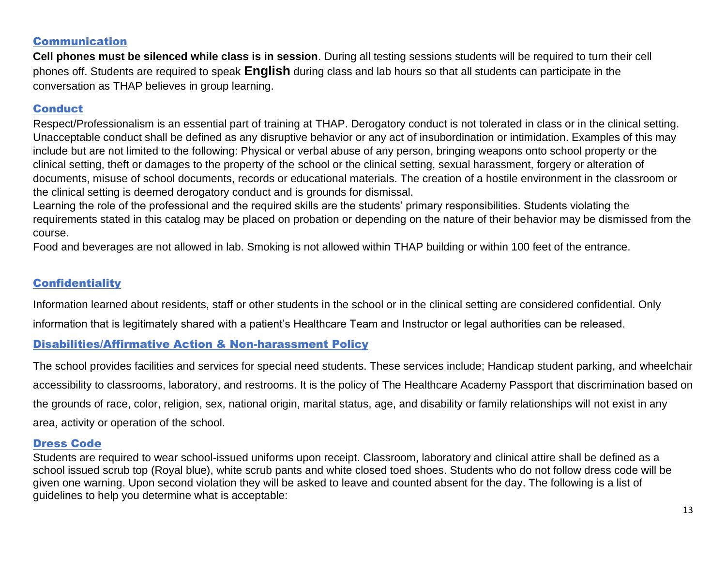## Communication

**Cell phones must be silenced while class is in session**. During all testing sessions students will be required to turn their cell phones off. Students are required to speak **English** during class and lab hours so that all students can participate in the conversation as THAP believes in group learning.

## Conduct

Respect/Professionalism is an essential part of training at THAP. Derogatory conduct is not tolerated in class or in the clinical setting. Unacceptable conduct shall be defined as any disruptive behavior or any act of insubordination or intimidation. Examples of this may include but are not limited to the following: Physical or verbal abuse of any person, bringing weapons onto school property or the clinical setting, theft or damages to the property of the school or the clinical setting, sexual harassment, forgery or alteration of documents, misuse of school documents, records or educational materials. The creation of a hostile environment in the classroom or the clinical setting is deemed derogatory conduct and is grounds for dismissal.

Learning the role of the professional and the required skills are the students' primary responsibilities. Students violating the requirements stated in this catalog may be placed on probation or depending on the nature of their behavior may be dismissed from the course.

Food and beverages are not allowed in lab. Smoking is not allowed within THAP building or within 100 feet of the entrance.

## **Confidentiality**

Information learned about residents, staff or other students in the school or in the clinical setting are considered confidential. Only information that is legitimately shared with a patient's Healthcare Team and Instructor or legal authorities can be released.

## Disabilities/Affirmative Action & Non-harassment Policy

The school provides facilities and services for special need students. These services include; Handicap student parking, and wheelchair accessibility to classrooms, laboratory, and restrooms. It is the policy of The Healthcare Academy Passport that discrimination based on the grounds of race, color, religion, sex, national origin, marital status, age, and disability or family relationships will not exist in any area, activity or operation of the school.

#### Dress Code

Students are required to wear school-issued uniforms upon receipt. Classroom, laboratory and clinical attire shall be defined as a school issued scrub top (Royal blue), white scrub pants and white closed toed shoes. Students who do not follow dress code will be given one warning. Upon second violation they will be asked to leave and counted absent for the day. The following is a list of guidelines to help you determine what is acceptable: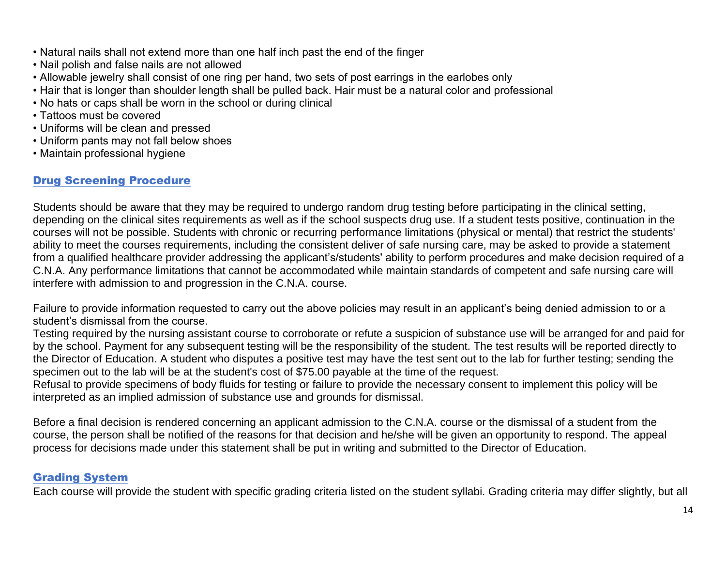- Natural nails shall not extend more than one half inch past the end of the finger
- Nail polish and false nails are not allowed
- Allowable jewelry shall consist of one ring per hand, two sets of post earrings in the earlobes only
- Hair that is longer than shoulder length shall be pulled back. Hair must be a natural color and professional
- No hats or caps shall be worn in the school or during clinical
- Tattoos must be covered
- Uniforms will be clean and pressed
- Uniform pants may not fall below shoes
- Maintain professional hygiene

## Drug Screening Procedure

Students should be aware that they may be required to undergo random drug testing before participating in the clinical setting, depending on the clinical sites requirements as well as if the school suspects drug use. If a student tests positive, continuation in the courses will not be possible. Students with chronic or recurring performance limitations (physical or mental) that restrict the students' ability to meet the courses requirements, including the consistent deliver of safe nursing care, may be asked to provide a statement from a qualified healthcare provider addressing the applicant's/students' ability to perform procedures and make decision required of a C.N.A. Any performance limitations that cannot be accommodated while maintain standards of competent and safe nursing care will interfere with admission to and progression in the C.N.A. course.

Failure to provide information requested to carry out the above policies may result in an applicant's being denied admission to or a student's dismissal from the course.

Testing required by the nursing assistant course to corroborate or refute a suspicion of substance use will be arranged for and paid for by the school. Payment for any subsequent testing will be the responsibility of the student. The test results will be reported directly to the Director of Education. A student who disputes a positive test may have the test sent out to the lab for further testing; sending the specimen out to the lab will be at the student's cost of \$75.00 payable at the time of the request.

Refusal to provide specimens of body fluids for testing or failure to provide the necessary consent to implement this policy will be interpreted as an implied admission of substance use and grounds for dismissal.

Before a final decision is rendered concerning an applicant admission to the C.N.A. course or the dismissal of a student from the course, the person shall be notified of the reasons for that decision and he/she will be given an opportunity to respond. The appeal process for decisions made under this statement shall be put in writing and submitted to the Director of Education.

#### Grading System

Each course will provide the student with specific grading criteria listed on the student syllabi. Grading criteria may differ slightly, but all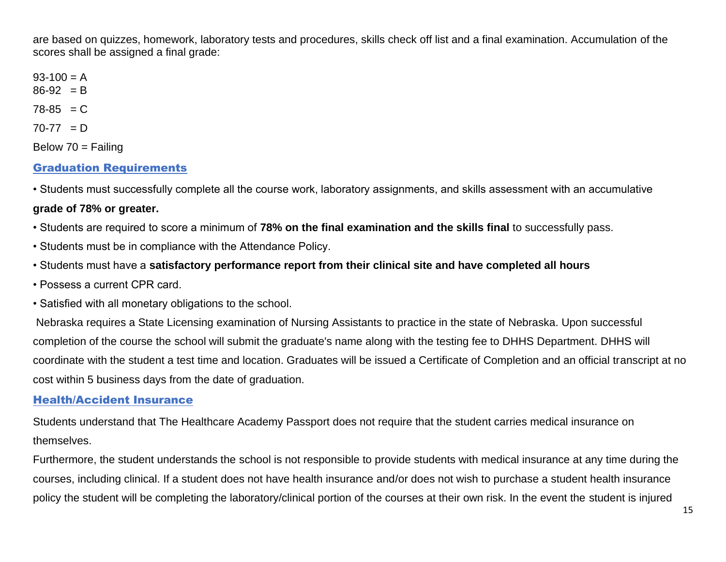are based on quizzes, homework, laboratory tests and procedures, skills check off list and a final examination. Accumulation of the scores shall be assigned a final grade:

 $93-100 = A$  $86-92 = B$  $78-85 = C$  $70-77 = D$ Below  $70 =$  Failing

## Graduation Requirements

• Students must successfully complete all the course work, laboratory assignments, and skills assessment with an accumulative

#### **grade of 78% or greater.**

• Students are required to score a minimum of **78% on the final examination and the skills final** to successfully pass.

- Students must be in compliance with the Attendance Policy.
- Students must have a **satisfactory performance report from their clinical site and have completed all hours**
- Possess a current CPR card.
- Satisfied with all monetary obligations to the school.

Nebraska requires a State Licensing examination of Nursing Assistants to practice in the state of Nebraska. Upon successful completion of the course the school will submit the graduate's name along with the testing fee to DHHS Department. DHHS will coordinate with the student a test time and location. Graduates will be issued a Certificate of Completion and an official transcript at no cost within 5 business days from the date of graduation.

#### Health/Accident Insurance

Students understand that The Healthcare Academy Passport does not require that the student carries medical insurance on themselves.

Furthermore, the student understands the school is not responsible to provide students with medical insurance at any time during the courses, including clinical. If a student does not have health insurance and/or does not wish to purchase a student health insurance policy the student will be completing the laboratory/clinical portion of the courses at their own risk. In the event the student is injured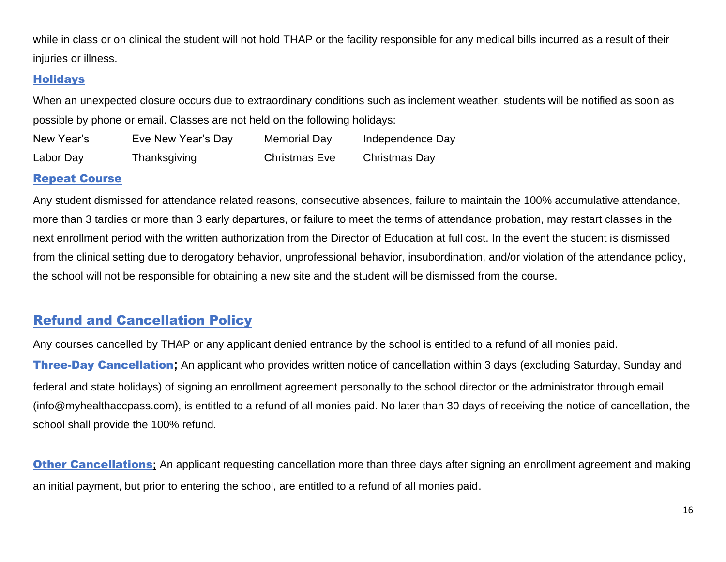while in class or on clinical the student will not hold THAP or the facility responsible for any medical bills incurred as a result of their injuries or illness.

## **Holidays**

When an unexpected closure occurs due to extraordinary conditions such as inclement weather, students will be notified as soon as possible by phone or email. Classes are not held on the following holidays:

| New Year's | Eve New Year's Day | Memorial Day         | Independence Day |
|------------|--------------------|----------------------|------------------|
| Labor Day  | Thanksgiving       | <b>Christmas Eve</b> | Christmas Day    |

#### Repeat Course

Any student dismissed for attendance related reasons, consecutive absences, failure to maintain the 100% accumulative attendance, more than 3 tardies or more than 3 early departures, or failure to meet the terms of attendance probation, may restart classes in the next enrollment period with the written authorization from the Director of Education at full cost. In the event the student is dismissed from the clinical setting due to derogatory behavior, unprofessional behavior, insubordination, and/or violation of the attendance policy, the school will not be responsible for obtaining a new site and the student will be dismissed from the course.

## Refund and Cancellation Policy

Any courses cancelled by THAP or any applicant denied entrance by the school is entitled to a refund of all monies paid. Three-Day Cancellation**;** An applicant who provides written notice of cancellation within 3 days (excluding Saturday, Sunday and federal and state holidays) of signing an enrollment agreement personally to the school director or the administrator through email (info@myhealthaccpass.com), is entitled to a refund of all monies paid. No later than 30 days of receiving the notice of cancellation, the school shall provide the 100% refund.

**Other Cancellations**; An applicant requesting cancellation more than three days after signing an enrollment agreement and making an initial payment, but prior to entering the school, are entitled to a refund of all monies paid.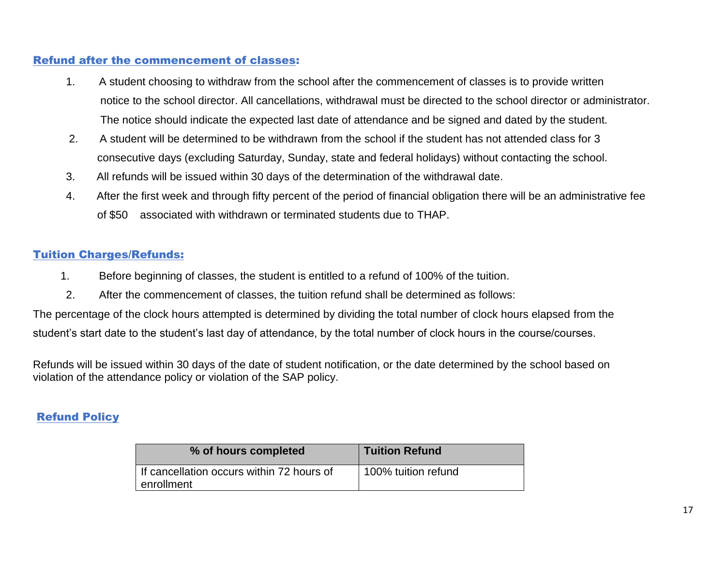## Refund after the commencement of classes:

- 1. A student choosing to withdraw from the school after the commencement of classes is to provide written notice to the school director. All cancellations, withdrawal must be directed to the school director or administrator. The notice should indicate the expected last date of attendance and be signed and dated by the student.
- 2. A student will be determined to be withdrawn from the school if the student has not attended class for 3 consecutive days (excluding Saturday, Sunday, state and federal holidays) without contacting the school.
- 3. All refunds will be issued within 30 days of the determination of the withdrawal date.
- 4. After the first week and through fifty percent of the period of financial obligation there will be an administrative fee of \$50 associated with withdrawn or terminated students due to THAP.

## Tuition Charges/Refunds:

- 1. Before beginning of classes, the student is entitled to a refund of 100% of the tuition.
- 2. After the commencement of classes, the tuition refund shall be determined as follows:

The percentage of the clock hours attempted is determined by dividing the total number of clock hours elapsed from the student's start date to the student's last day of attendance, by the total number of clock hours in the course/courses.

Refunds will be issued within 30 days of the date of student notification, or the date determined by the school based on violation of the attendance policy or violation of the SAP policy.

## Refund Policy

| % of hours completed                                    | <b>Tuition Refund</b> |
|---------------------------------------------------------|-----------------------|
| If cancellation occurs within 72 hours of<br>enrollment | 100% tuition refund   |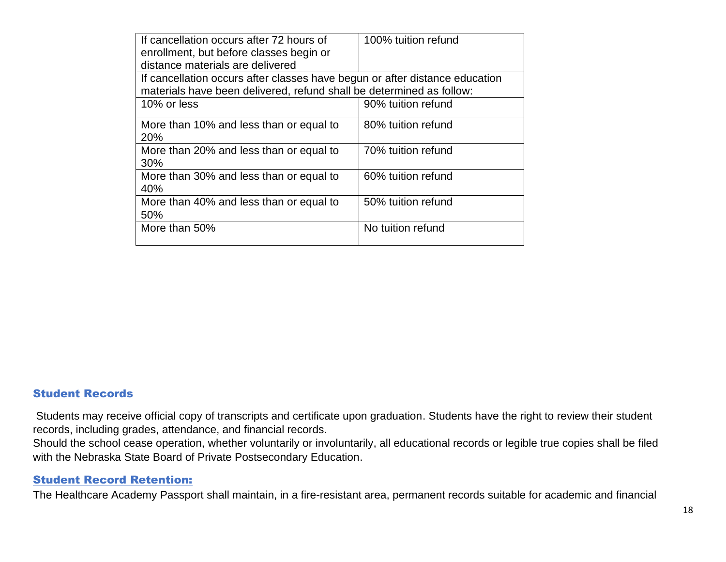| If cancellation occurs after 72 hours of                                    | 100% tuition refund |  |
|-----------------------------------------------------------------------------|---------------------|--|
| enrollment, but before classes begin or                                     |                     |  |
| distance materials are delivered                                            |                     |  |
| If cancellation occurs after classes have begun or after distance education |                     |  |
| materials have been delivered, refund shall be determined as follow:        |                     |  |
| 10% or less                                                                 | 90% tuition refund  |  |
| More than 10% and less than or equal to                                     | 80% tuition refund  |  |
| 20%                                                                         |                     |  |
| More than 20% and less than or equal to                                     | 70% tuition refund  |  |
| 30%                                                                         |                     |  |
| More than 30% and less than or equal to                                     | 60% tuition refund  |  |
| 40%                                                                         |                     |  |
| More than 40% and less than or equal to                                     | 50% tuition refund  |  |
| 50%                                                                         |                     |  |
| More than 50%                                                               | No tuition refund   |  |
|                                                                             |                     |  |

#### Student Records

Students may receive official copy of transcripts and certificate upon graduation. Students have the right to review their student records, including grades, attendance, and financial records.

Should the school cease operation, whether voluntarily or involuntarily, all educational records or legible true copies shall be filed with the Nebraska State Board of Private Postsecondary Education.

#### Student Record Retention:

The Healthcare Academy Passport shall maintain, in a fire-resistant area, permanent records suitable for academic and financial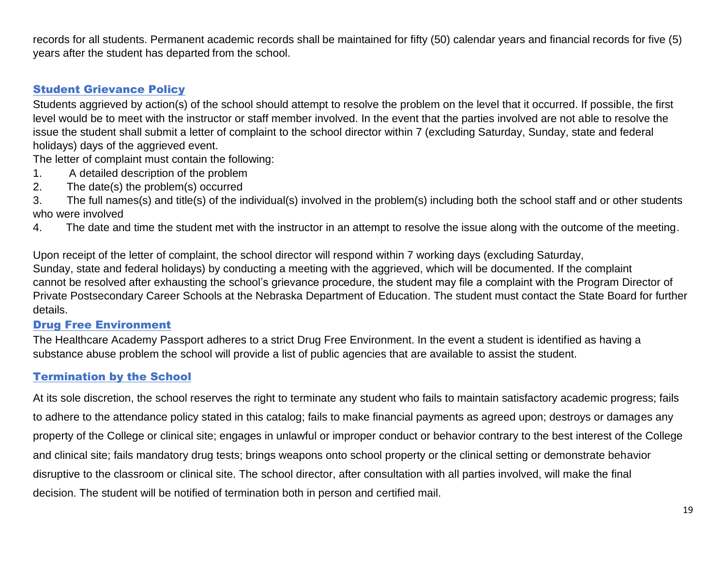records for all students. Permanent academic records shall be maintained for fifty (50) calendar years and financial records for five (5) years after the student has departed from the school.

## Student Grievance Policy

Students aggrieved by action(s) of the school should attempt to resolve the problem on the level that it occurred. If possible, the first level would be to meet with the instructor or staff member involved. In the event that the parties involved are not able to resolve the issue the student shall submit a letter of complaint to the school director within 7 (excluding Saturday, Sunday, state and federal holidays) days of the aggrieved event.

The letter of complaint must contain the following:

- 1. A detailed description of the problem
- 2. The date(s) the problem(s) occurred
- 3. The full names(s) and title(s) of the individual(s) involved in the problem(s) including both the school staff and or other students who were involved
- 4. The date and time the student met with the instructor in an attempt to resolve the issue along with the outcome of the meeting.

Upon receipt of the letter of complaint, the school director will respond within 7 working days (excluding Saturday, Sunday, state and federal holidays) by conducting a meeting with the aggrieved, which will be documented. If the complaint cannot be resolved after exhausting the school's grievance procedure, the student may file a complaint with the Program Director of Private Postsecondary Career Schools at the Nebraska Department of Education. The student must contact the State Board for further details.

## Drug Free Environment

The Healthcare Academy Passport adheres to a strict Drug Free Environment. In the event a student is identified as having a substance abuse problem the school will provide a list of public agencies that are available to assist the student.

## Termination by the School

At its sole discretion, the school reserves the right to terminate any student who fails to maintain satisfactory academic progress; fails to adhere to the attendance policy stated in this catalog; fails to make financial payments as agreed upon; destroys or damages any property of the College or clinical site; engages in unlawful or improper conduct or behavior contrary to the best interest of the College and clinical site; fails mandatory drug tests; brings weapons onto school property or the clinical setting or demonstrate behavior disruptive to the classroom or clinical site. The school director, after consultation with all parties involved, will make the final decision. The student will be notified of termination both in person and certified mail.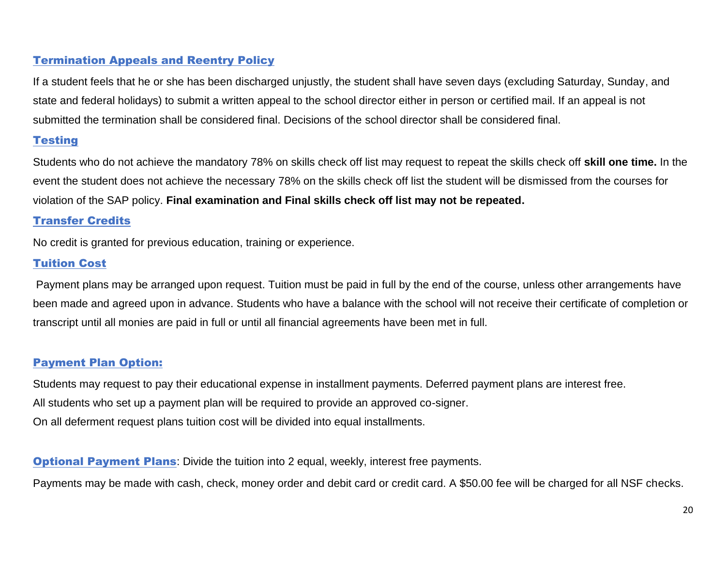## Termination Appeals and Reentry Policy

If a student feels that he or she has been discharged unjustly, the student shall have seven days (excluding Saturday, Sunday, and state and federal holidays) to submit a written appeal to the school director either in person or certified mail. If an appeal is not submitted the termination shall be considered final. Decisions of the school director shall be considered final.

## **Testing**

Students who do not achieve the mandatory 78% on skills check off list may request to repeat the skills check off **skill one time.** In the event the student does not achieve the necessary 78% on the skills check off list the student will be dismissed from the courses for violation of the SAP policy. **Final examination and Final skills check off list may not be repeated.**

## Transfer Credits

No credit is granted for previous education, training or experience.

## Tuition Cost

Payment plans may be arranged upon request. Tuition must be paid in full by the end of the course, unless other arrangements have been made and agreed upon in advance. Students who have a balance with the school will not receive their certificate of completion or transcript until all monies are paid in full or until all financial agreements have been met in full.

## Payment Plan Option:

Students may request to pay their educational expense in installment payments. Deferred payment plans are interest free. All students who set up a payment plan will be required to provide an approved co-signer. On all deferment request plans tuition cost will be divided into equal installments.

**Optional Payment Plans:** Divide the tuition into 2 equal, weekly, interest free payments.

Payments may be made with cash, check, money order and debit card or credit card. A \$50.00 fee will be charged for all NSF checks.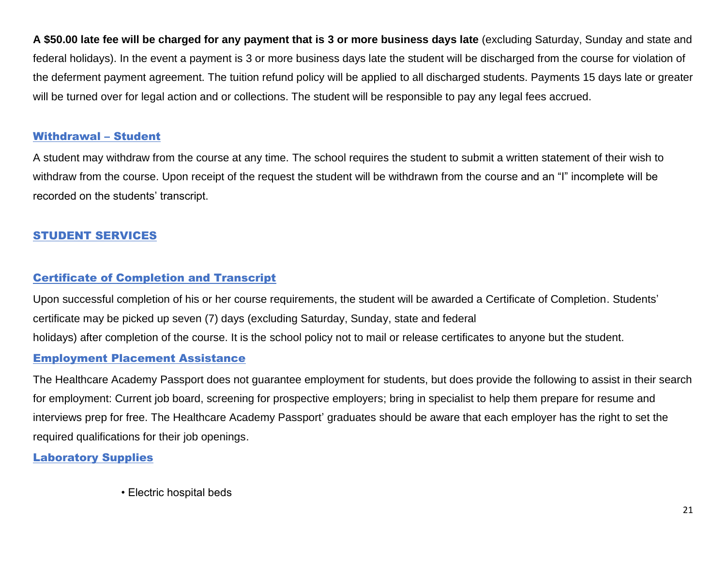**A \$50.00 late fee will be charged for any payment that is 3 or more business days late** (excluding Saturday, Sunday and state and federal holidays). In the event a payment is 3 or more business days late the student will be discharged from the course for violation of the deferment payment agreement. The tuition refund policy will be applied to all discharged students. Payments 15 days late or greater will be turned over for legal action and or collections. The student will be responsible to pay any legal fees accrued.

#### Withdrawal – Student

A student may withdraw from the course at any time. The school requires the student to submit a written statement of their wish to withdraw from the course. Upon receipt of the request the student will be withdrawn from the course and an "I" incomplete will be recorded on the students' transcript.

## STUDENT SERVICES

## Certificate of Completion and Transcript

Upon successful completion of his or her course requirements, the student will be awarded a Certificate of Completion. Students' certificate may be picked up seven (7) days (excluding Saturday, Sunday, state and federal holidays) after completion of the course. It is the school policy not to mail or release certificates to anyone but the student.

## Employment Placement Assistance

The Healthcare Academy Passport does not guarantee employment for students, but does provide the following to assist in their search for employment: Current job board, screening for prospective employers; bring in specialist to help them prepare for resume and interviews prep for free. The Healthcare Academy Passport' graduates should be aware that each employer has the right to set the required qualifications for their job openings.

## Laboratory Supplies

• Electric hospital beds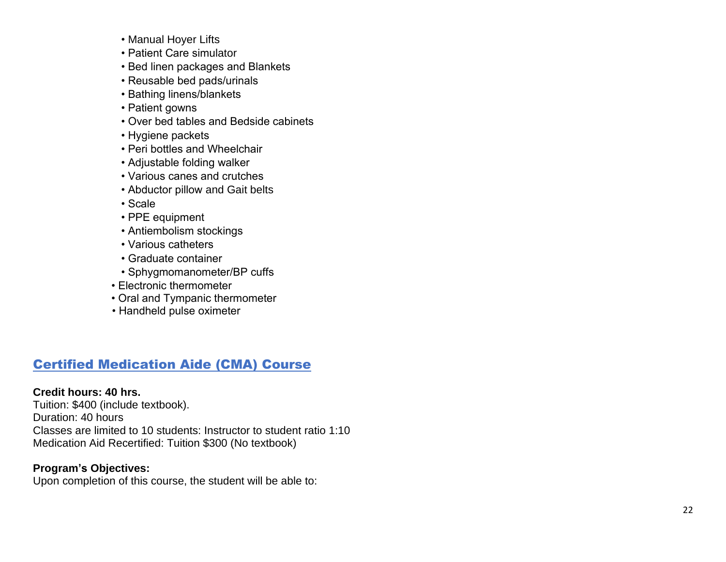- Manual Hoyer Lift s
- Patient Care simulator
- Bed linen packages and Blankets
- Reusable bed pads/urinals
- Bathing linens/blankets
- Patient gowns
- Over bed tables and Bedside cabinets
- Hygiene packets
- Peri bottles and Wheelchair
- Adjustable folding walker
- Various canes and crutches
- Abductor pillow and Gait belts
- Scale
- PPE equipment
- Antiembolism stockings
- Various catheters
- Graduate container
- Sphygmomanometer/BP cuffs
- Electronic thermometer
- Oral and Tympanic thermometer
- Handheld pulse oximeter

## Certified Medication Aide (CMA) Course

## **Credit hours: 40 hrs.**

Tuition: \$ 400 (include textbook ). Duration: 40 hours Classes are limited to 10 students: Instructor to student ratio 1:10 Medication Aid Recertified: Tuition \$300 (No textbook)

## **Program's Objectives:**

Upon completion of this course, the student will be able to: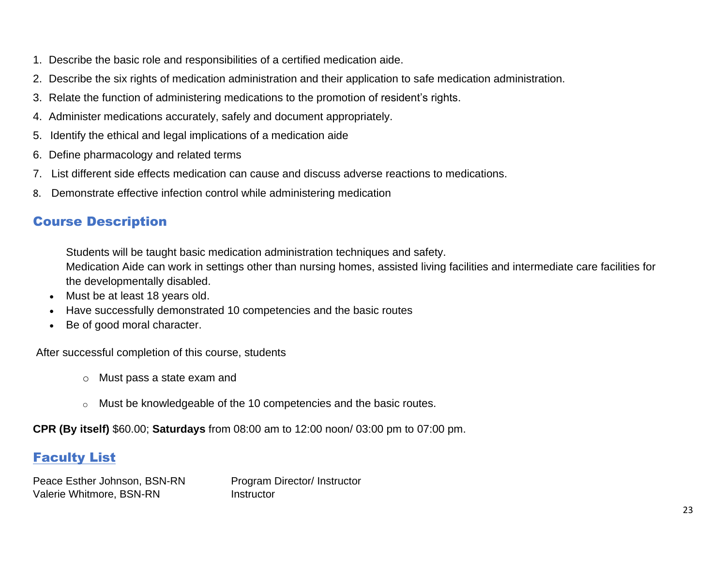- 1. Describe the basic role and responsibilities of a certified medication aide.
- 2. Describe the six rights of medication administration and their application to safe medication administration.
- 3. Relate the function of administering medications to the promotion of resident's rights.
- 4. Administer medications accurately, safely and document appropriately.
- 5. Identify the ethical and legal implications of a medication aide
- 6. Define pharmacology and related terms
- 7. List different side effects medication can cause and discuss adverse reactions to medications.
- 8. Demonstrate effective infection control while administering medication

## Course Description

Students will be taught basic medication administration techniques and safety. Medication Aide can work in settings other than nursing homes, assisted living facilities and intermediate care facilities for the developmentally disabled.

- Must be at least 18 years old.
- Have successfully demonstrated 10 competencies and the basic routes
- Be of good moral character.

After successful completion of this course, students

- o Must pass a state exam and
- o Must be knowledgeable of the 10 competencies and the basic routes.

**CPR (By itself)** \$60.00; **Saturdays** from 08:00 am to 12:00 noon/ 03:00 pm to 07:00 pm.

## Faculty List

Peace Esther Johnson, BSN-RN Program Director/ Instructor Valerie Whitmore, BSN-RN Instructor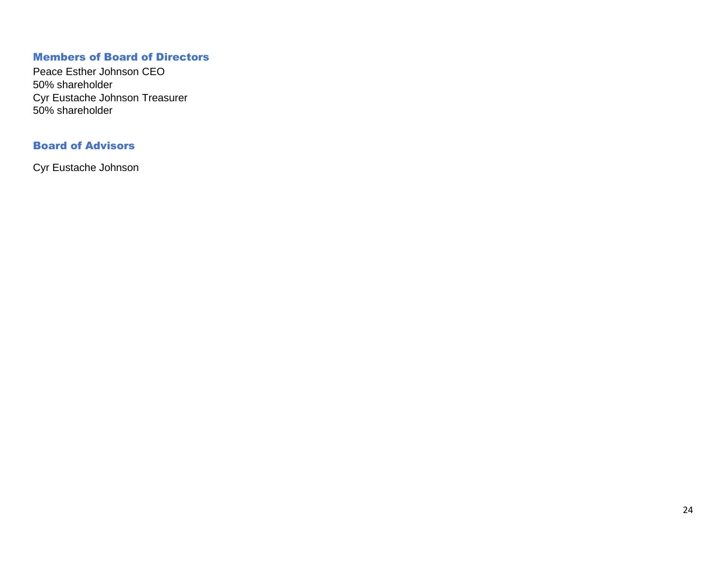#### Members of Board of Directors

Peace Esther Johnson CEO 50% shareholder Cyr Eustache Johnson Treasurer 50% shareholder

## Board of Advisors

Cyr Eustache Johnson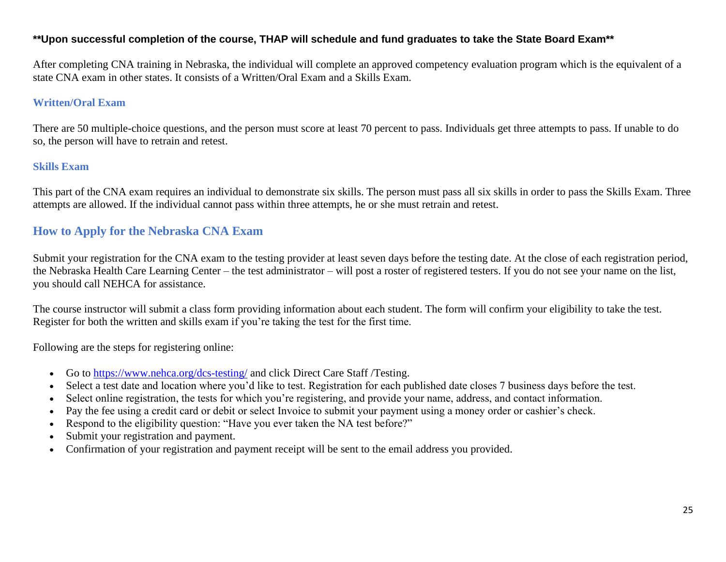#### **\*\*Upon successful completion of the course, THAP will schedule and fund graduates to take the State Board Exam\*\***

After completing CNA training in Nebraska, the individual will complete an approved competency evaluation program which is the equivalent of [a](https://www.choosecna.org/cna-certification-requirements/)  [state CNA exam in other states.](https://www.choosecna.org/cna-certification-requirements/) It consists of a Written/Oral Exam and a Skills Exam.

#### **Written/Oral Exam**

There are 50 multiple-choice questions, and the person must score at least 70 percent to pass. Individuals get three attempts to pass. If unable to do so, the person will have to retrain and retest.

#### **Skills Exam**

This part of the CNA exam requires an individual to demonstrate six skills. The person must pass all six skills in order to pass the Skills Exam. Three attempts are allowed. If the individual cannot pass within three attempts, he or she must retrain and retest.

## **How to Apply for the Nebraska [CNA Exam](https://cnaclassesnearyou.com/cna-exams-certification-state/)**

Submit your registration for the [CNA exam](https://cnaclassesnearyou.com/cna-exams-certification-state/) to the testing provider at least seven days before the testing date. At the close of each registration period, the Nebraska Health Care Learning Center – the test administrator – will post a roster of registered testers. If you do not see your name on the list, you should call NEHCA for assistance.

The course instructor will submit a class form providing information about each student. The form will confirm your eligibility to take the test. Register for both the written and skills exam if you're taking the test for the first time.

Following are the steps for registering online:

- Go to<https://www.nehca.org/dcs-testing/> and click Direct Care Staff /Testing.
- Select a test date and location where you'd like to test. Registration for each published date closes 7 business days before the test.
- Select online registration, the tests for which you're registering, and provide your name, address, and contact information.
- Pay the fee using a credit card or debit or select Invoice to submit your payment using a money order or cashier's check.
- Respond to the eligibility question: "Have you ever taken the NA test before?"
- Submit your registration and payment.
- Confirmation of your registration and payment receipt will be sent to the email address you provided.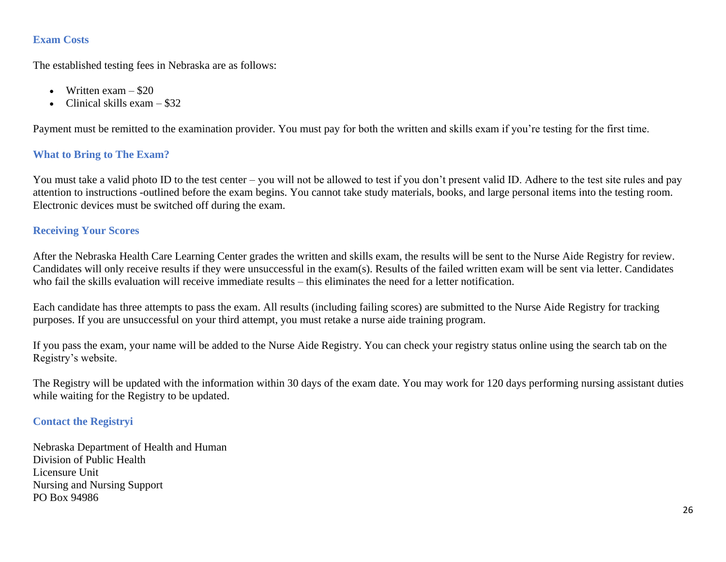#### **Exam Costs**

The established testing fees in Nebraska are as follows:

- Written exam  $-$  \$20
- Clinical skills  $exam $32$

Payment must be remitted to the examination provider. You must pay for both the written and skills exam if you're testing for the first time.

## **What to Bring to The Exam?**

You must take a valid photo ID to the test center – you will not be allowed to test if you don't present valid ID. Adhere to the test site rules and pay attention to instructions -outlined before the exam begins. You cannot take study materials, books, and large personal items into the testing room. Electronic devices must be switched off during the exam.

## **Receiving Your Scores**

After the Nebraska Health Care Learning Center grades the written and skills exam, the results will be sent to the Nurse Aide Registry for review. Candidates will only receive results if they were unsuccessful in the exam(s). Results of the failed written exam will be sent via letter. Candidates who fail the skills evaluation will receive immediate results – this eliminates the need for a letter notification.

Each candidate has three attempts to pass the exam. All results (including failing scores) are submitted to the Nurse Aide Registry for tracking purposes. If you are unsuccessful on your third attempt, you must retake a nurse aide training program.

If you pass the exam, your name will be added to the Nurse Aide Registry. You can check your registry status online using the search tab on the Registry's website.

The Registry will be updated with the information within 30 days of the exam date. You may work for 120 days performing nursing assistant duties while waiting for the Registry to be updated.

#### **Contact the Registryi**

Nebraska Department of Health and Human Division of Public Health Licensure Unit Nursing and Nursing Support PO Box 94986